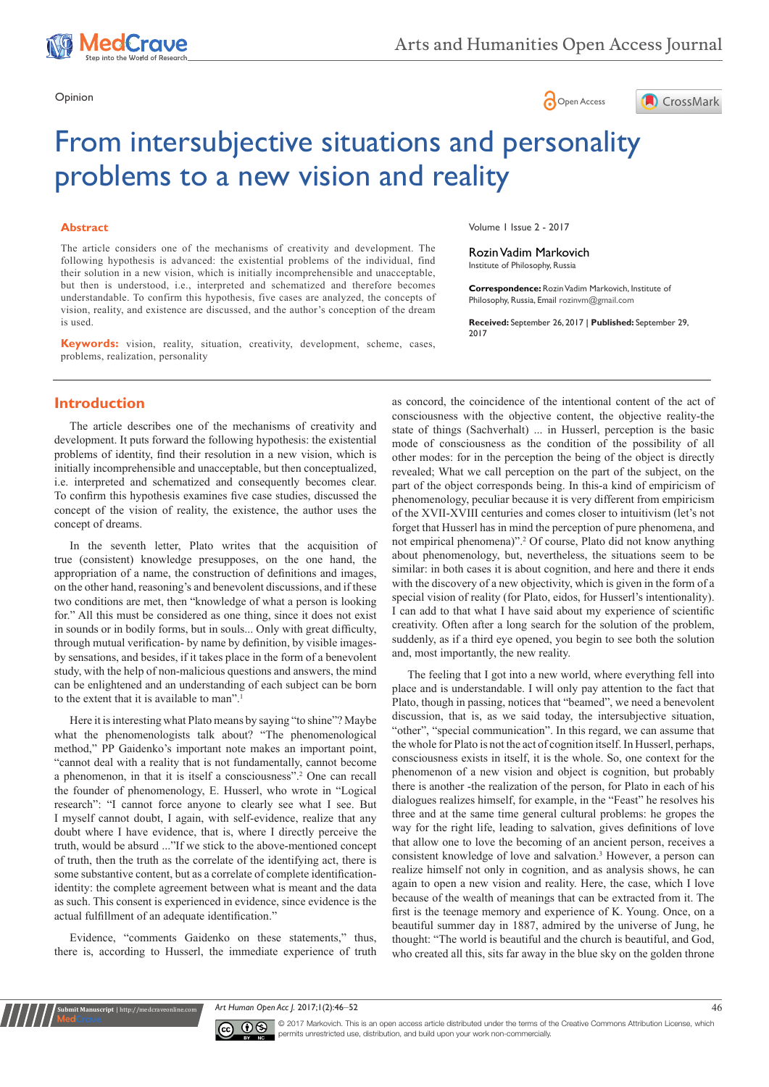





# From intersubjective situations and personality problems to a new vision and reality

#### **Abstract**

The article considers one of the mechanisms of creativity and development. The following hypothesis is advanced: the existential problems of the individual, find their solution in a new vision, which is initially incomprehensible and unacceptable, but then is understood, i.e., interpreted and schematized and therefore becomes understandable. To confirm this hypothesis, five cases are analyzed, the concepts of vision, reality, and existence are discussed, and the author's conception of the dream is used.

**Keywords:** vision, reality, situation, creativity, development, scheme, cases, problems, realization, personality

Volume 1 Issue 2 - 2017

Rozin Vadim Markovich Institute of Philosophy, Russia

**Correspondence:** Rozin Vadim Markovich, Institute of Philosophy, Russia, Email rozinvm@gmail.com

**Received:** September 26, 2017 | **Published:** September 29, 2017

## **Introduction**

The article describes one of the mechanisms of creativity and development. It puts forward the following hypothesis: the existential problems of identity, find their resolution in a new vision, which is initially incomprehensible and unacceptable, but then conceptualized, i.e. interpreted and schematized and consequently becomes clear. To confirm this hypothesis examines five case studies, discussed the concept of the vision of reality, the existence, the author uses the concept of dreams.

In the seventh letter, Plato writes that the acquisition of true (consistent) knowledge presupposes, on the one hand, the appropriation of a name, the construction of definitions and images, on the other hand, reasoning's and benevolent discussions, and if these two conditions are met, then "knowledge of what a person is looking for." All this must be considered as one thing, since it does not exist in sounds or in bodily forms, but in souls... Only with great difficulty, through mutual verification- by name by definition, by visible imagesby sensations, and besides, if it takes place in the form of a benevolent study, with the help of non-malicious questions and answers, the mind can be enlightened and an understanding of each subject can be born to the extent that it is available to man".<sup>1</sup>

Here it is interesting what Plato means by saying "to shine"? Maybe what the phenomenologists talk about? "The phenomenological method," PP Gaidenko's important note makes an important point, "cannot deal with a reality that is not fundamentally, cannot become a phenomenon, in that it is itself a consciousness".2 One can recall the founder of phenomenology, E. Husserl, who wrote in "Logical research": "I cannot force anyone to clearly see what I see. But I myself cannot doubt, I again, with self-evidence, realize that any doubt where I have evidence, that is, where I directly perceive the truth, would be absurd ..."If we stick to the above-mentioned concept of truth, then the truth as the correlate of the identifying act, there is some substantive content, but as a correlate of complete identificationidentity: the complete agreement between what is meant and the data as such. This consent is experienced in evidence, since evidence is the actual fulfillment of an adequate identification."

Evidence, "comments Gaidenko on these statements," thus, there is, according to Husserl, the immediate experience of truth

**nit Manuscript** | http://medcraveonline.

as concord, the coincidence of the intentional content of the act of consciousness with the objective content, the objective reality-the state of things (Sachverhalt) ... in Husserl, perception is the basic mode of consciousness as the condition of the possibility of all other modes: for in the perception the being of the object is directly revealed; What we call perception on the part of the subject, on the part of the object corresponds being. In this-a kind of empiricism of phenomenology, peculiar because it is very different from empiricism of the XVII-XVIII centuries and comes closer to intuitivism (let's not forget that Husserl has in mind the perception of pure phenomena, and not empirical phenomena)".<sup>2</sup> Of course, Plato did not know anything about phenomenology, but, nevertheless, the situations seem to be similar: in both cases it is about cognition, and here and there it ends with the discovery of a new objectivity, which is given in the form of a special vision of reality (for Plato, eidos, for Husserl's intentionality). I can add to that what I have said about my experience of scientific creativity. Often after a long search for the solution of the problem, suddenly, as if a third eye opened, you begin to see both the solution and, most importantly, the new reality.

The feeling that I got into a new world, where everything fell into place and is understandable. I will only pay attention to the fact that Plato, though in passing, notices that "beamed", we need a benevolent discussion, that is, as we said today, the intersubjective situation, "other", "special communication". In this regard, we can assume that the whole for Plato is not the act of cognition itself. In Husserl, perhaps, consciousness exists in itself, it is the whole. So, one context for the phenomenon of a new vision and object is cognition, but probably there is another -the realization of the person, for Plato in each of his dialogues realizes himself, for example, in the "Feast" he resolves his three and at the same time general cultural problems: he gropes the way for the right life, leading to salvation, gives definitions of love that allow one to love the becoming of an ancient person, receives a consistent knowledge of love and salvation.<sup>3</sup> However, a person can realize himself not only in cognition, and as analysis shows, he can again to open a new vision and reality. Here, the case, which I love because of the wealth of meanings that can be extracted from it. The first is the teenage memory and experience of K. Young. Once, on a beautiful summer day in 1887, admired by the universe of Jung, he thought: "The world is beautiful and the church is beautiful, and God, who created all this, sits far away in the blue sky on the golden throne

*Art Human Open Acc J.* 2017;1(2):46‒52 46



© 2017 Markovich. This is an open access article distributed under the terms of the [Creative Commons Attribution License,](https://creativecommons.org/licenses/by-nc/4.0/) which permits unrestricted use, distribution, and build upon your work non-commercially.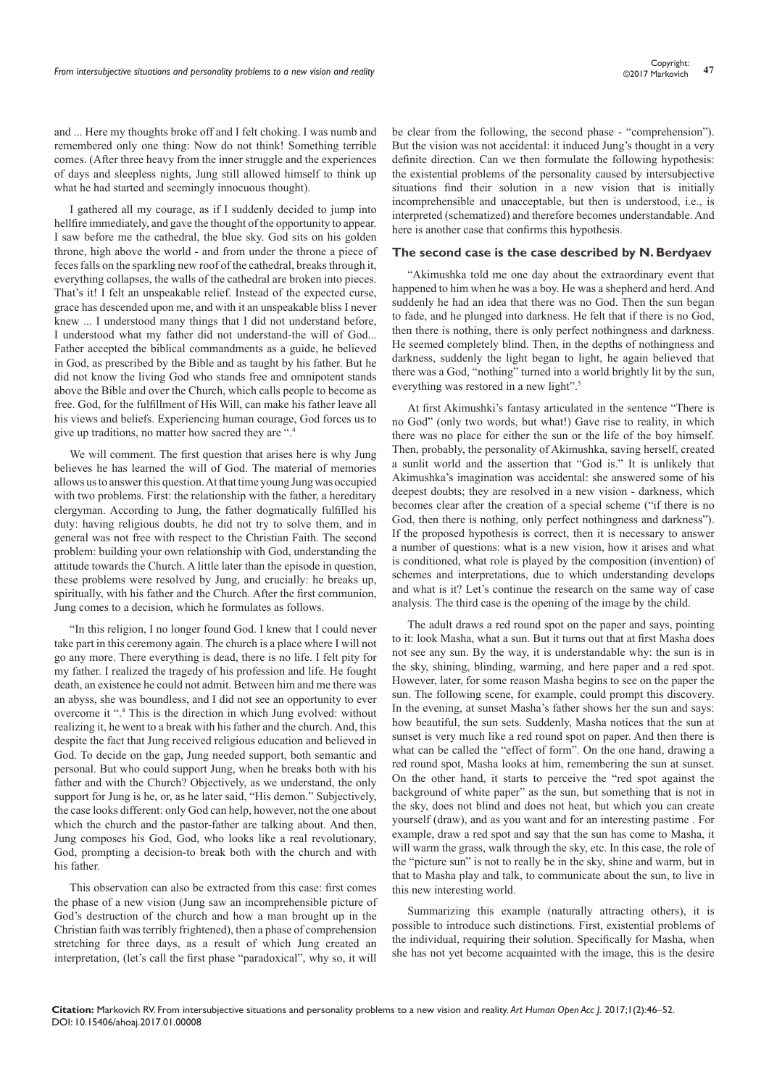and ... Here my thoughts broke off and I felt choking. I was numb and remembered only one thing: Now do not think! Something terrible comes. (After three heavy from the inner struggle and the experiences of days and sleepless nights, Jung still allowed himself to think up what he had started and seemingly innocuous thought).

I gathered all my courage, as if I suddenly decided to jump into hellfire immediately, and gave the thought of the opportunity to appear. I saw before me the cathedral, the blue sky. God sits on his golden throne, high above the world - and from under the throne a piece of feces falls on the sparkling new roof of the cathedral, breaks through it, everything collapses, the walls of the cathedral are broken into pieces. That's it! I felt an unspeakable relief. Instead of the expected curse, grace has descended upon me, and with it an unspeakable bliss I never knew ... I understood many things that I did not understand before, I understood what my father did not understand-the will of God... Father accepted the biblical commandments as a guide, he believed in God, as prescribed by the Bible and as taught by his father. But he did not know the living God who stands free and omnipotent stands above the Bible and over the Church, which calls people to become as free. God, for the fulfillment of His Will, can make his father leave all his views and beliefs. Experiencing human courage, God forces us to give up traditions, no matter how sacred they are ".

We will comment. The first question that arises here is why Jung believes he has learned the will of God. The material of memories allows us to answer this question. At that time young Jung was occupied with two problems. First: the relationship with the father, a hereditary clergyman. According to Jung, the father dogmatically fulfilled his duty: having religious doubts, he did not try to solve them, and in general was not free with respect to the Christian Faith. The second problem: building your own relationship with God, understanding the attitude towards the Church. A little later than the episode in question, these problems were resolved by Jung, and crucially: he breaks up, spiritually, with his father and the Church. After the first communion, Jung comes to a decision, which he formulates as follows.

"In this religion, I no longer found God. I knew that I could never take part in this ceremony again. The church is a place where I will not go any more. There everything is dead, there is no life. I felt pity for my father. I realized the tragedy of his profession and life. He fought death, an existence he could not admit. Between him and me there was an abyss, she was boundless, and I did not see an opportunity to ever overcome it ".4 This is the direction in which Jung evolved: without realizing it, he went to a break with his father and the church. And, this despite the fact that Jung received religious education and believed in God. To decide on the gap, Jung needed support, both semantic and personal. But who could support Jung, when he breaks both with his father and with the Church? Objectively, as we understand, the only support for Jung is he, or, as he later said, "His demon." Subjectively, the case looks different: only God can help, however, not the one about which the church and the pastor-father are talking about. And then, Jung composes his God, God, who looks like a real revolutionary, God, prompting a decision-to break both with the church and with his father.

This observation can also be extracted from this case: first comes the phase of a new vision (Jung saw an incomprehensible picture of God's destruction of the church and how a man brought up in the Christian faith was terribly frightened), then a phase of comprehension stretching for three days, as a result of which Jung created an interpretation, (let's call the first phase "paradoxical", why so, it will

be clear from the following, the second phase - "comprehension"). But the vision was not accidental: it induced Jung's thought in a very definite direction. Can we then formulate the following hypothesis: the existential problems of the personality caused by intersubjective situations find their solution in a new vision that is initially incomprehensible and unacceptable, but then is understood, i.e., is interpreted (schematized) and therefore becomes understandable. And here is another case that confirms this hypothesis.

#### **The second case is the case described by N. Berdyaev**

"Akimushka told me one day about the extraordinary event that happened to him when he was a boy. He was a shepherd and herd. And suddenly he had an idea that there was no God. Then the sun began to fade, and he plunged into darkness. He felt that if there is no God, then there is nothing, there is only perfect nothingness and darkness. He seemed completely blind. Then, in the depths of nothingness and darkness, suddenly the light began to light, he again believed that there was a God, "nothing" turned into a world brightly lit by the sun, everything was restored in a new light".<sup>5</sup>

At first Akimushki's fantasy articulated in the sentence "There is no God" (only two words, but what!) Gave rise to reality, in which there was no place for either the sun or the life of the boy himself. Then, probably, the personality of Akimushka, saving herself, created a sunlit world and the assertion that "God is." It is unlikely that Akimushka's imagination was accidental: she answered some of his deepest doubts; they are resolved in a new vision - darkness, which becomes clear after the creation of a special scheme ("if there is no God, then there is nothing, only perfect nothingness and darkness"). If the proposed hypothesis is correct, then it is necessary to answer a number of questions: what is a new vision, how it arises and what is conditioned, what role is played by the composition (invention) of schemes and interpretations, due to which understanding develops and what is it? Let's continue the research on the same way of case analysis. The third case is the opening of the image by the child.

The adult draws a red round spot on the paper and says, pointing to it: look Masha, what a sun. But it turns out that at first Masha does not see any sun. By the way, it is understandable why: the sun is in the sky, shining, blinding, warming, and here paper and a red spot. However, later, for some reason Masha begins to see on the paper the sun. The following scene, for example, could prompt this discovery. In the evening, at sunset Masha's father shows her the sun and says: how beautiful, the sun sets. Suddenly, Masha notices that the sun at sunset is very much like a red round spot on paper. And then there is what can be called the "effect of form". On the one hand, drawing a red round spot, Masha looks at him, remembering the sun at sunset. On the other hand, it starts to perceive the "red spot against the background of white paper" as the sun, but something that is not in the sky, does not blind and does not heat, but which you can create yourself (draw), and as you want and for an interesting pastime . For example, draw a red spot and say that the sun has come to Masha, it will warm the grass, walk through the sky, etc. In this case, the role of the "picture sun" is not to really be in the sky, shine and warm, but in that to Masha play and talk, to communicate about the sun, to live in this new interesting world.

Summarizing this example (naturally attracting others), it is possible to introduce such distinctions. First, existential problems of the individual, requiring their solution. Specifically for Masha, when she has not yet become acquainted with the image, this is the desire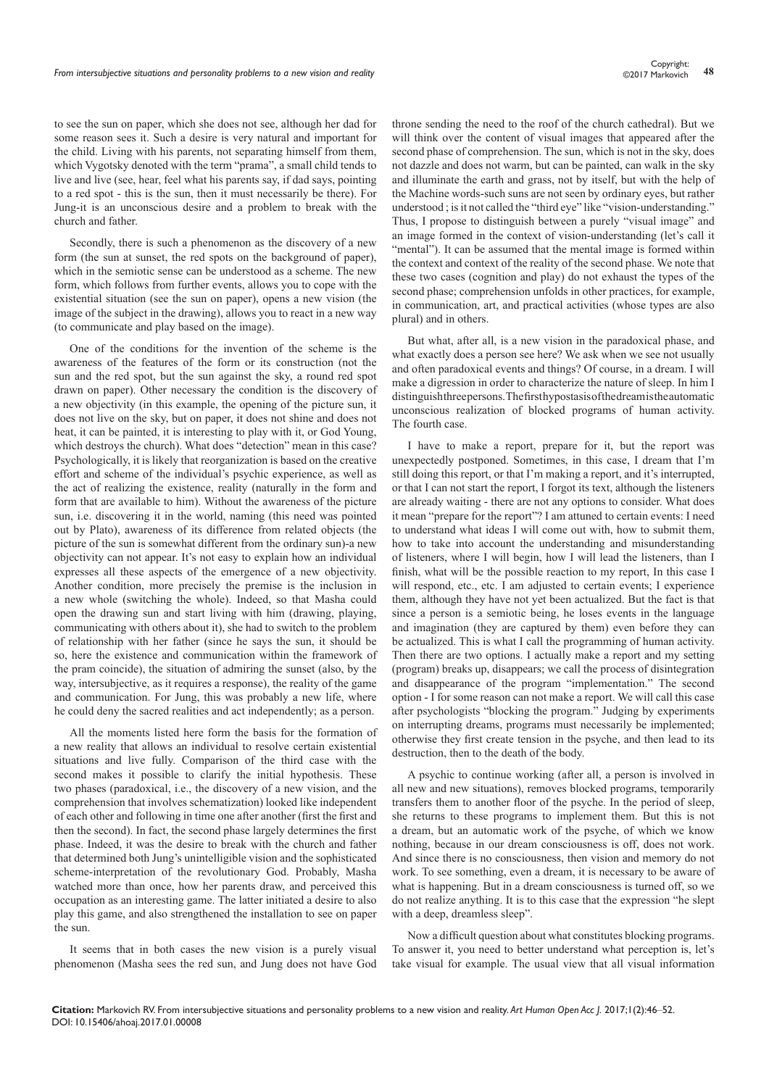to see the sun on paper, which she does not see, although her dad for some reason sees it. Such a desire is very natural and important for the child. Living with his parents, not separating himself from them, which Vygotsky denoted with the term "prama", a small child tends to live and live (see, hear, feel what his parents say, if dad says, pointing to a red spot - this is the sun, then it must necessarily be there). For Jung-it is an unconscious desire and a problem to break with the church and father.

Secondly, there is such a phenomenon as the discovery of a new form (the sun at sunset, the red spots on the background of paper), which in the semiotic sense can be understood as a scheme. The new form, which follows from further events, allows you to cope with the existential situation (see the sun on paper), opens a new vision (the image of the subject in the drawing), allows you to react in a new way (to communicate and play based on the image).

One of the conditions for the invention of the scheme is the awareness of the features of the form or its construction (not the sun and the red spot, but the sun against the sky, a round red spot drawn on paper). Other necessary the condition is the discovery of a new objectivity (in this example, the opening of the picture sun, it does not live on the sky, but on paper, it does not shine and does not heat, it can be painted, it is interesting to play with it, or God Young, which destroys the church). What does "detection" mean in this case? Psychologically, it is likely that reorganization is based on the creative effort and scheme of the individual's psychic experience, as well as the act of realizing the existence, reality (naturally in the form and form that are available to him). Without the awareness of the picture sun, i.e. discovering it in the world, naming (this need was pointed out by Plato), awareness of its difference from related objects (the picture of the sun is somewhat different from the ordinary sun)-a new objectivity can not appear. It's not easy to explain how an individual expresses all these aspects of the emergence of a new objectivity. Another condition, more precisely the premise is the inclusion in a new whole (switching the whole). Indeed, so that Masha could open the drawing sun and start living with him (drawing, playing, communicating with others about it), she had to switch to the problem of relationship with her father (since he says the sun, it should be so, here the existence and communication within the framework of the pram coincide), the situation of admiring the sunset (also, by the way, intersubjective, as it requires a response), the reality of the game and communication. For Jung, this was probably a new life, where he could deny the sacred realities and act independently; as a person.

All the moments listed here form the basis for the formation of a new reality that allows an individual to resolve certain existential situations and live fully. Comparison of the third case with the second makes it possible to clarify the initial hypothesis. These two phases (paradoxical, i.e., the discovery of a new vision, and the comprehension that involves schematization) looked like independent of each other and following in time one after another (first the first and then the second). In fact, the second phase largely determines the first phase. Indeed, it was the desire to break with the church and father that determined both Jung's unintelligible vision and the sophisticated scheme-interpretation of the revolutionary God. Probably, Masha watched more than once, how her parents draw, and perceived this occupation as an interesting game. The latter initiated a desire to also play this game, and also strengthened the installation to see on paper the sun.

It seems that in both cases the new vision is a purely visual phenomenon (Masha sees the red sun, and Jung does not have God throne sending the need to the roof of the church cathedral). But we will think over the content of visual images that appeared after the second phase of comprehension. The sun, which is not in the sky, does not dazzle and does not warm, but can be painted, can walk in the sky and illuminate the earth and grass, not by itself, but with the help of the Machine words-such suns are not seen by ordinary eyes, but rather understood ; is it not called the "third eye" like "vision-understanding." Thus, I propose to distinguish between a purely "visual image" and an image formed in the context of vision-understanding (let's call it "mental"). It can be assumed that the mental image is formed within the context and context of the reality of the second phase. We note that these two cases (cognition and play) do not exhaust the types of the second phase; comprehension unfolds in other practices, for example, in communication, art, and practical activities (whose types are also plural) and in others.

But what, after all, is a new vision in the paradoxical phase, and what exactly does a person see here? We ask when we see not usually and often paradoxical events and things? Of course, in a dream. I will make a digression in order to characterize the nature of sleep. In him I distinguish three persons. The first hypostasis of the dream is the automatic unconscious realization of blocked programs of human activity. The fourth case.

I have to make a report, prepare for it, but the report was unexpectedly postponed. Sometimes, in this case, I dream that I'm still doing this report, or that I'm making a report, and it's interrupted, or that I can not start the report, I forgot its text, although the listeners are already waiting - there are not any options to consider. What does it mean "prepare for the report"? I am attuned to certain events: I need to understand what ideas I will come out with, how to submit them, how to take into account the understanding and misunderstanding of listeners, where I will begin, how I will lead the listeners, than I finish, what will be the possible reaction to my report, In this case I will respond, etc., etc. I am adjusted to certain events; I experience them, although they have not yet been actualized. But the fact is that since a person is a semiotic being, he loses events in the language and imagination (they are captured by them) even before they can be actualized. This is what I call the programming of human activity. Then there are two options. I actually make a report and my setting (program) breaks up, disappears; we call the process of disintegration and disappearance of the program "implementation." The second option - I for some reason can not make a report. We will call this case after psychologists "blocking the program." Judging by experiments on interrupting dreams, programs must necessarily be implemented; otherwise they first create tension in the psyche, and then lead to its destruction, then to the death of the body.

A psychic to continue working (after all, a person is involved in all new and new situations), removes blocked programs, temporarily transfers them to another floor of the psyche. In the period of sleep, she returns to these programs to implement them. But this is not a dream, but an automatic work of the psyche, of which we know nothing, because in our dream consciousness is off, does not work. And since there is no consciousness, then vision and memory do not work. To see something, even a dream, it is necessary to be aware of what is happening. But in a dream consciousness is turned off, so we do not realize anything. It is to this case that the expression "he slept with a deep, dreamless sleep".

Now a difficult question about what constitutes blocking programs. To answer it, you need to better understand what perception is, let's take visual for example. The usual view that all visual information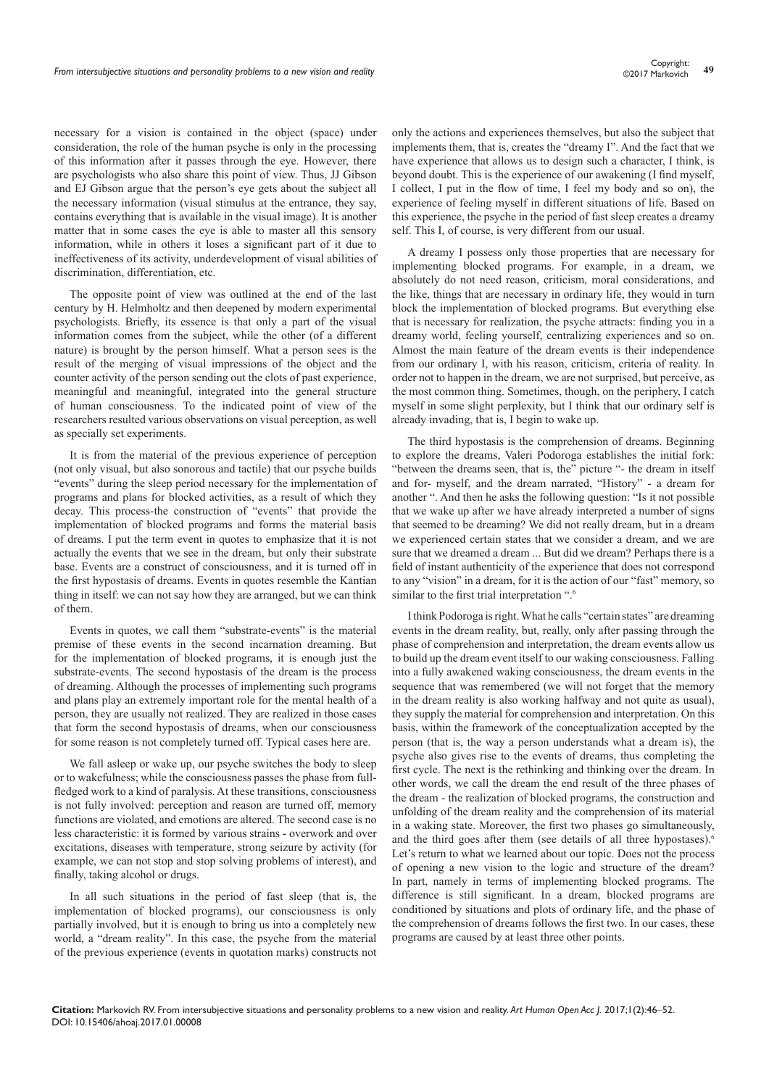necessary for a vision is contained in the object (space) under consideration, the role of the human psyche is only in the processing of this information after it passes through the eye. However, there are psychologists who also share this point of view. Thus, JJ Gibson and EJ Gibson argue that the person's eye gets about the subject all the necessary information (visual stimulus at the entrance, they say, contains everything that is available in the visual image). It is another matter that in some cases the eye is able to master all this sensory information, while in others it loses a significant part of it due to ineffectiveness of its activity, underdevelopment of visual abilities of discrimination, differentiation, etc.

The opposite point of view was outlined at the end of the last century by H. Helmholtz and then deepened by modern experimental psychologists. Briefly, its essence is that only a part of the visual information comes from the subject, while the other (of a different nature) is brought by the person himself. What a person sees is the result of the merging of visual impressions of the object and the counter activity of the person sending out the clots of past experience, meaningful and meaningful, integrated into the general structure of human consciousness. To the indicated point of view of the researchers resulted various observations on visual perception, as well as specially set experiments.

It is from the material of the previous experience of perception (not only visual, but also sonorous and tactile) that our psyche builds "events" during the sleep period necessary for the implementation of programs and plans for blocked activities, as a result of which they decay. This process-the construction of "events" that provide the implementation of blocked programs and forms the material basis of dreams. I put the term event in quotes to emphasize that it is not actually the events that we see in the dream, but only their substrate base. Events are a construct of consciousness, and it is turned off in the first hypostasis of dreams. Events in quotes resemble the Kantian thing in itself: we can not say how they are arranged, but we can think of them.

Events in quotes, we call them "substrate-events" is the material premise of these events in the second incarnation dreaming. But for the implementation of blocked programs, it is enough just the substrate-events. The second hypostasis of the dream is the process of dreaming. Although the processes of implementing such programs and plans play an extremely important role for the mental health of a person, they are usually not realized. They are realized in those cases that form the second hypostasis of dreams, when our consciousness for some reason is not completely turned off. Typical cases here are.

We fall asleep or wake up, our psyche switches the body to sleep or to wakefulness; while the consciousness passes the phase from fullfledged work to a kind of paralysis. At these transitions, consciousness is not fully involved: perception and reason are turned off, memory functions are violated, and emotions are altered. The second case is no less characteristic: it is formed by various strains - overwork and over excitations, diseases with temperature, strong seizure by activity (for example, we can not stop and stop solving problems of interest), and finally, taking alcohol or drugs.

In all such situations in the period of fast sleep (that is, the implementation of blocked programs), our consciousness is only partially involved, but it is enough to bring us into a completely new world, a "dream reality". In this case, the psyche from the material of the previous experience (events in quotation marks) constructs not only the actions and experiences themselves, but also the subject that implements them, that is, creates the "dreamy I". And the fact that we have experience that allows us to design such a character, I think, is beyond doubt. This is the experience of our awakening (I find myself, I collect, I put in the flow of time, I feel my body and so on), the experience of feeling myself in different situations of life. Based on this experience, the psyche in the period of fast sleep creates a dreamy self. This I, of course, is very different from our usual.

A dreamy I possess only those properties that are necessary for implementing blocked programs. For example, in a dream, we absolutely do not need reason, criticism, moral considerations, and the like, things that are necessary in ordinary life, they would in turn block the implementation of blocked programs. But everything else that is necessary for realization, the psyche attracts: finding you in a dreamy world, feeling yourself, centralizing experiences and so on. Almost the main feature of the dream events is their independence from our ordinary I, with his reason, criticism, criteria of reality. In order not to happen in the dream, we are not surprised, but perceive, as the most common thing. Sometimes, though, on the periphery, I catch myself in some slight perplexity, but I think that our ordinary self is already invading, that is, I begin to wake up.

The third hypostasis is the comprehension of dreams. Beginning to explore the dreams, Valeri Podoroga establishes the initial fork: "between the dreams seen, that is, the" picture "- the dream in itself and for- myself, and the dream narrated, "History" - a dream for another ". And then he asks the following question: "Is it not possible that we wake up after we have already interpreted a number of signs that seemed to be dreaming? We did not really dream, but in a dream we experienced certain states that we consider a dream, and we are sure that we dreamed a dream ... But did we dream? Perhaps there is a field of instant authenticity of the experience that does not correspond to any "vision" in a dream, for it is the action of our "fast" memory, so similar to the first trial interpretation ".<sup>6</sup>

I think Podoroga is right. What he calls "certain states" are dreaming events in the dream reality, but, really, only after passing through the phase of comprehension and interpretation, the dream events allow us to build up the dream event itself to our waking consciousness. Falling into a fully awakened waking consciousness, the dream events in the sequence that was remembered (we will not forget that the memory in the dream reality is also working halfway and not quite as usual), they supply the material for comprehension and interpretation. On this basis, within the framework of the conceptualization accepted by the person (that is, the way a person understands what a dream is), the psyche also gives rise to the events of dreams, thus completing the first cycle. The next is the rethinking and thinking over the dream. In other words, we call the dream the end result of the three phases of the dream - the realization of blocked programs, the construction and unfolding of the dream reality and the comprehension of its material in a waking state. Moreover, the first two phases go simultaneously, and the third goes after them (see details of all three hypostases).<sup>6</sup> Let's return to what we learned about our topic. Does not the process of opening a new vision to the logic and structure of the dream? In part, namely in terms of implementing blocked programs. The difference is still significant. In a dream, blocked programs are conditioned by situations and plots of ordinary life, and the phase of the comprehension of dreams follows the first two. In our cases, these programs are caused by at least three other points.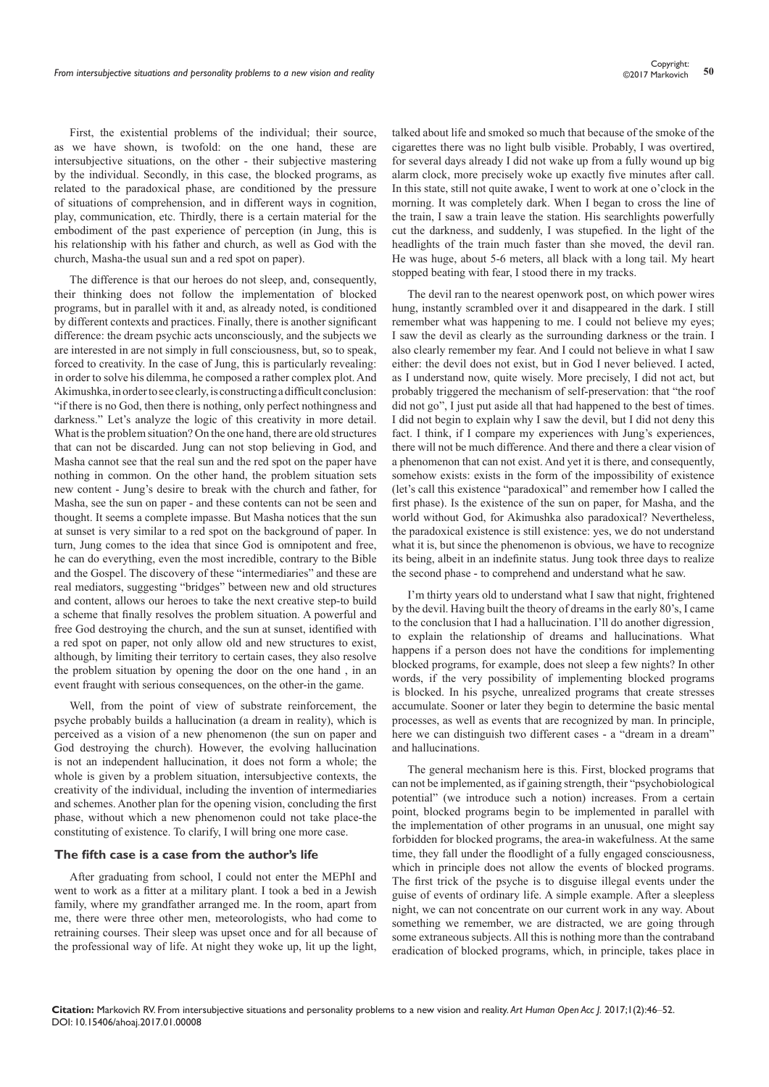First, the existential problems of the individual; their source, as we have shown, is twofold: on the one hand, these are intersubjective situations, on the other - their subjective mastering by the individual. Secondly, in this case, the blocked programs, as related to the paradoxical phase, are conditioned by the pressure of situations of comprehension, and in different ways in cognition, play, communication, etc. Thirdly, there is a certain material for the embodiment of the past experience of perception (in Jung, this is his relationship with his father and church, as well as God with the church, Masha-the usual sun and a red spot on paper).

The difference is that our heroes do not sleep, and, consequently, their thinking does not follow the implementation of blocked programs, but in parallel with it and, as already noted, is conditioned by different contexts and practices. Finally, there is another significant difference: the dream psychic acts unconsciously, and the subjects we are interested in are not simply in full consciousness, but, so to speak, forced to creativity. In the case of Jung, this is particularly revealing: in order to solve his dilemma, he composed a rather complex plot. And Akimushka, in order to see clearly, is constructing a difficult conclusion: "if there is no God, then there is nothing, only perfect nothingness and darkness." Let's analyze the logic of this creativity in more detail. What is the problem situation? On the one hand, there are old structures that can not be discarded. Jung can not stop believing in God, and Masha cannot see that the real sun and the red spot on the paper have nothing in common. On the other hand, the problem situation sets new content - Jung's desire to break with the church and father, for Masha, see the sun on paper - and these contents can not be seen and thought. It seems a complete impasse. But Masha notices that the sun at sunset is very similar to a red spot on the background of paper. In turn, Jung comes to the idea that since God is omnipotent and free, he can do everything, even the most incredible, contrary to the Bible and the Gospel. The discovery of these "intermediaries" and these are real mediators, suggesting "bridges" between new and old structures and content, allows our heroes to take the next creative step-to build a scheme that finally resolves the problem situation. A powerful and free God destroying the church, and the sun at sunset, identified with a red spot on paper, not only allow old and new structures to exist, although, by limiting their territory to certain cases, they also resolve the problem situation by opening the door on the one hand , in an event fraught with serious consequences, on the other-in the game.

Well, from the point of view of substrate reinforcement, the psyche probably builds a hallucination (a dream in reality), which is perceived as a vision of a new phenomenon (the sun on paper and God destroying the church). However, the evolving hallucination is not an independent hallucination, it does not form a whole; the whole is given by a problem situation, intersubjective contexts, the creativity of the individual, including the invention of intermediaries and schemes. Another plan for the opening vision, concluding the first phase, without which a new phenomenon could not take place-the constituting of existence. To clarify, I will bring one more case.

#### **The fifth case is a case from the author's life**

After graduating from school, I could not enter the MEPhI and went to work as a fitter at a military plant. I took a bed in a Jewish family, where my grandfather arranged me. In the room, apart from me, there were three other men, meteorologists, who had come to retraining courses. Their sleep was upset once and for all because of the professional way of life. At night they woke up, lit up the light,

talked about life and smoked so much that because of the smoke of the cigarettes there was no light bulb visible. Probably, I was overtired, for several days already I did not wake up from a fully wound up big alarm clock, more precisely woke up exactly five minutes after call. In this state, still not quite awake, I went to work at one o'clock in the morning. It was completely dark. When I began to cross the line of the train, I saw a train leave the station. His searchlights powerfully cut the darkness, and suddenly, I was stupefied. In the light of the headlights of the train much faster than she moved, the devil ran. He was huge, about 5-6 meters, all black with a long tail. My heart stopped beating with fear, I stood there in my tracks.

The devil ran to the nearest openwork post, on which power wires hung, instantly scrambled over it and disappeared in the dark. I still remember what was happening to me. I could not believe my eyes; I saw the devil as clearly as the surrounding darkness or the train. I also clearly remember my fear. And I could not believe in what I saw either: the devil does not exist, but in God I never believed. I acted, as I understand now, quite wisely. More precisely, I did not act, but probably triggered the mechanism of self-preservation: that "the roof did not go", I just put aside all that had happened to the best of times. I did not begin to explain why I saw the devil, but I did not deny this fact. I think, if I compare my experiences with Jung's experiences, there will not be much difference. And there and there a clear vision of a phenomenon that can not exist. And yet it is there, and consequently, somehow exists: exists in the form of the impossibility of existence (let's call this existence "paradoxical" and remember how I called the first phase). Is the existence of the sun on paper, for Masha, and the world without God, for Akimushka also paradoxical? Nevertheless, the paradoxical existence is still existence: yes, we do not understand what it is, but since the phenomenon is obvious, we have to recognize its being, albeit in an indefinite status. Jung took three days to realize the second phase - to comprehend and understand what he saw.

I'm thirty years old to understand what I saw that night, frightened by the devil. Having built the theory of dreams in the early 80's, I came to the conclusion that I had a hallucination. I'll do another digression, to explain the relationship of dreams and hallucinations. What happens if a person does not have the conditions for implementing blocked programs, for example, does not sleep a few nights? In other words, if the very possibility of implementing blocked programs is blocked. In his psyche, unrealized programs that create stresses accumulate. Sooner or later they begin to determine the basic mental processes, as well as events that are recognized by man. In principle, here we can distinguish two different cases - a "dream in a dream" and hallucinations.

The general mechanism here is this. First, blocked programs that can not be implemented, as if gaining strength, their "psychobiological potential" (we introduce such a notion) increases. From a certain point, blocked programs begin to be implemented in parallel with the implementation of other programs in an unusual, one might say forbidden for blocked programs, the area-in wakefulness. At the same time, they fall under the floodlight of a fully engaged consciousness, which in principle does not allow the events of blocked programs. The first trick of the psyche is to disguise illegal events under the guise of events of ordinary life. A simple example. After a sleepless night, we can not concentrate on our current work in any way. About something we remember, we are distracted, we are going through some extraneous subjects. All this is nothing more than the contraband eradication of blocked programs, which, in principle, takes place in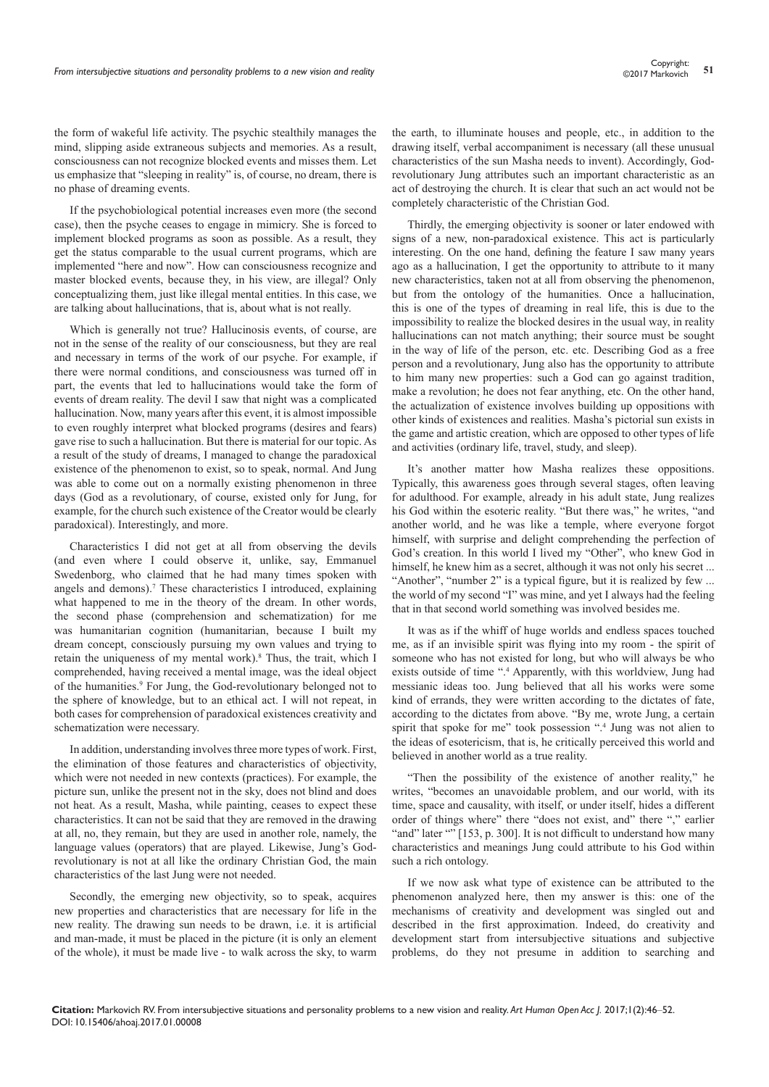the form of wakeful life activity. The psychic stealthily manages the mind, slipping aside extraneous subjects and memories. As a result, consciousness can not recognize blocked events and misses them. Let us emphasize that "sleeping in reality" is, of course, no dream, there is no phase of dreaming events.

If the psychobiological potential increases even more (the second case), then the psyche ceases to engage in mimicry. She is forced to implement blocked programs as soon as possible. As a result, they get the status comparable to the usual current programs, which are implemented "here and now". How can consciousness recognize and master blocked events, because they, in his view, are illegal? Only conceptualizing them, just like illegal mental entities. In this case, we are talking about hallucinations, that is, about what is not really.

Which is generally not true? Hallucinosis events, of course, are not in the sense of the reality of our consciousness, but they are real and necessary in terms of the work of our psyche. For example, if there were normal conditions, and consciousness was turned off in part, the events that led to hallucinations would take the form of events of dream reality. The devil I saw that night was a complicated hallucination. Now, many years after this event, it is almost impossible to even roughly interpret what blocked programs (desires and fears) gave rise to such a hallucination. But there is material for our topic. As a result of the study of dreams, I managed to change the paradoxical existence of the phenomenon to exist, so to speak, normal. And Jung was able to come out on a normally existing phenomenon in three days (God as a revolutionary, of course, existed only for Jung, for example, for the church such existence of the Creator would be clearly paradoxical). Interestingly, and more.

Characteristics I did not get at all from observing the devils (and even where I could observe it, unlike, say, Emmanuel Swedenborg, who claimed that he had many times spoken with angels and demons).<sup>7</sup> These characteristics I introduced, explaining what happened to me in the theory of the dream. In other words, the second phase (comprehension and schematization) for me was humanitarian cognition (humanitarian, because I built my dream concept, consciously pursuing my own values and trying to retain the uniqueness of my mental work).<sup>8</sup> Thus, the trait, which I comprehended, having received a mental image, was the ideal object of the humanities.<sup>9</sup> For Jung, the God-revolutionary belonged not to the sphere of knowledge, but to an ethical act. I will not repeat, in both cases for comprehension of paradoxical existences creativity and schematization were necessary.

In addition, understanding involves three more types of work. First, the elimination of those features and characteristics of objectivity, which were not needed in new contexts (practices). For example, the picture sun, unlike the present not in the sky, does not blind and does not heat. As a result, Masha, while painting, ceases to expect these characteristics. It can not be said that they are removed in the drawing at all, no, they remain, but they are used in another role, namely, the language values (operators) that are played. Likewise, Jung's Godrevolutionary is not at all like the ordinary Christian God, the main characteristics of the last Jung were not needed.

Secondly, the emerging new objectivity, so to speak, acquires new properties and characteristics that are necessary for life in the new reality. The drawing sun needs to be drawn, i.e. it is artificial and man-made, it must be placed in the picture (it is only an element of the whole), it must be made live - to walk across the sky, to warm

the earth, to illuminate houses and people, etc., in addition to the drawing itself, verbal accompaniment is necessary (all these unusual characteristics of the sun Masha needs to invent). Accordingly, Godrevolutionary Jung attributes such an important characteristic as an act of destroying the church. It is clear that such an act would not be completely characteristic of the Christian God.

Thirdly, the emerging objectivity is sooner or later endowed with signs of a new, non-paradoxical existence. This act is particularly interesting. On the one hand, defining the feature I saw many years ago as a hallucination, I get the opportunity to attribute to it many new characteristics, taken not at all from observing the phenomenon, but from the ontology of the humanities. Once a hallucination, this is one of the types of dreaming in real life, this is due to the impossibility to realize the blocked desires in the usual way, in reality hallucinations can not match anything; their source must be sought in the way of life of the person, etc. etc. Describing God as a free person and a revolutionary, Jung also has the opportunity to attribute to him many new properties: such a God can go against tradition, make a revolution; he does not fear anything, etc. On the other hand, the actualization of existence involves building up oppositions with other kinds of existences and realities. Masha's pictorial sun exists in the game and artistic creation, which are opposed to other types of life and activities (ordinary life, travel, study, and sleep).

It's another matter how Masha realizes these oppositions. Typically, this awareness goes through several stages, often leaving for adulthood. For example, already in his adult state, Jung realizes his God within the esoteric reality. "But there was," he writes, "and another world, and he was like a temple, where everyone forgot himself, with surprise and delight comprehending the perfection of God's creation. In this world I lived my "Other", who knew God in himself, he knew him as a secret, although it was not only his secret ... "Another", "number 2" is a typical figure, but it is realized by few ... the world of my second "I" was mine, and yet I always had the feeling that in that second world something was involved besides me.

It was as if the whiff of huge worlds and endless spaces touched me, as if an invisible spirit was flying into my room - the spirit of someone who has not existed for long, but who will always be who exists outside of time ".<sup>4</sup> Apparently, with this worldview, Jung had messianic ideas too. Jung believed that all his works were some kind of errands, they were written according to the dictates of fate, according to the dictates from above. "By me, wrote Jung, a certain spirit that spoke for me" took possession ".<sup>4</sup> Jung was not alien to the ideas of esotericism, that is, he critically perceived this world and believed in another world as a true reality.

"Then the possibility of the existence of another reality," he writes, "becomes an unavoidable problem, and our world, with its time, space and causality, with itself, or under itself, hides a different order of things where" there "does not exist, and" there "," earlier "and" later "" [153, p. 300]. It is not difficult to understand how many characteristics and meanings Jung could attribute to his God within such a rich ontology.

If we now ask what type of existence can be attributed to the phenomenon analyzed here, then my answer is this: one of the mechanisms of creativity and development was singled out and described in the first approximation. Indeed, do creativity and development start from intersubjective situations and subjective problems, do they not presume in addition to searching and